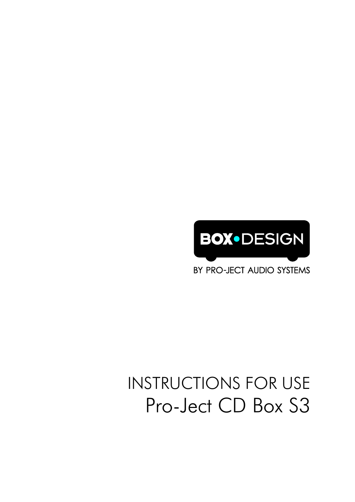# **BOX•DESIGN**

BY PRO-JECT AUDIO SYSTEMS

### INSTRUCTIONS FOR USE Pro-Ject CD Box S3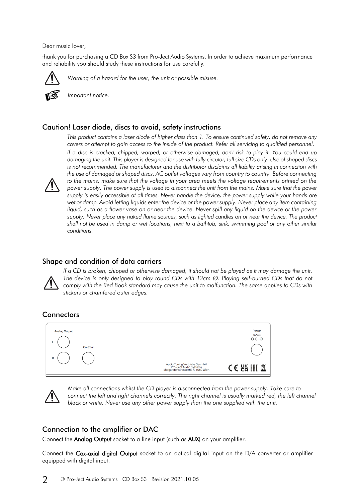Dear music lover,

thank you for purchasing a CD Box S3 from Pro-Ject Audio Systems. In order to achieve maximum performance and reliability you should study these instructions for use carefully.



*Warning of a hazard for the user, the unit or possible misuse.*



*Important notice.*

#### Caution! Laser diode, discs to avoid, safety instructions



*This product contains a laser diode of higher class than 1. To ensure continued safety, do not remove any covers or attempt to gain access to the inside of the product. Refer all servicing to qualified personnel. If a disc is cracked, chipped, warped, or otherwise damaged, don't risk to play it. You could end up damaging the unit. This player is designed for use with fully circular, full size CDs only. Use of shaped discs is not recommended. The manufacturer and the distributor disclaims all liability arising in connection with the use of damaged or shaped discs. AC outlet voltages vary from country to country. Before connecting*  to the mains, make sure that the voltage in your area meets the voltage requirements printed on the *power supply. The power supply is used to disconnect the unit from the mains. Make sure that the power supply is easily accessible at all times. Never handle the device, the power supply while your hands are wet or damp. Avoid letting liquids enter the device or the power supply. Never place any item containing liquid, such as a flower vase on or near the device. Never spill any liquid on the device or the power* supply. Never place any naked flame sources, such as lighted candles on or near the device. The product *shall not be used in damp or wet locations, next to a bathtub, sink, swimming pool or any other similar conditions.*

#### Shape and condition of data carriers



*If a CD is broken, chipped or otherwise damaged, it should not be played as it may damage the unit. The device is only designed to play round CDs with 12cm Ø. Playing self-burned CDs that do not comply with the Red Book standard may cause the unit to malfunction. The same applies to CDs with stickers or chamfered outer edges.*

#### **Connectors**

| <b>Analog Output</b> |          |                                                                                              | Power<br>$9V =$<br>$O(-0)$ |
|----------------------|----------|----------------------------------------------------------------------------------------------|----------------------------|
| $\mathsf{R}$         | Co-axial |                                                                                              |                            |
|                      |          | Audio Tuning Vertriebs GesmbH<br>Pro-Ject Audio Systems<br>Margaretenstrasse 98, A-1050 Wien | <b>CE 2K EHI</b><br>凰      |



*Make all connections whilst the CD player is disconnected from the power supply. Take care to connect the left and right channels correctly. The right channel is usually marked red, the left channel black or white. Never use any other power supply than the one supplied with the unit.*

#### Connection to the amplifier or DAC

Connect the Analog Output socket to a line input (such as AUX) on your amplifier.

Connect the Cox-axial digital Output socket to an optical digital input on the D/A converter or amplifier equipped with digital input.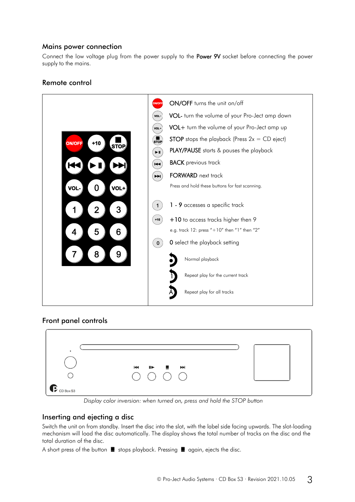#### Mains power connection

Connect the low voltage plug from the power supply to the Power 9V socket before connecting the power supply to the mains.

## Remote control



#### Front panel controls



*Display color inversion: when turned on, press and hold the STOP button*

#### Inserting and ejecting a disc

Switch the unit on from standby. Insert the disc into the slot, with the label side facing upwards. The slot-loading mechanism will load the disc automatically. The display shows the total number of tracks on the disc and the total duration of the disc.

A short press of the button  $\blacksquare$  stops playback. Pressing  $\blacksquare$  again, ejects the disc.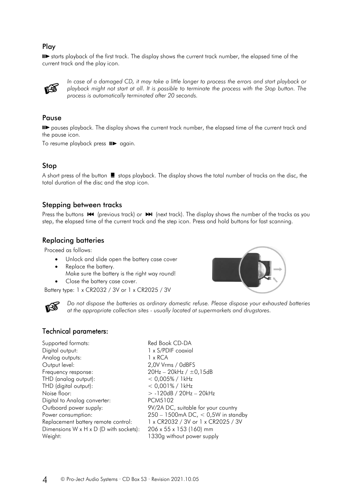#### Play

starts playback of the first track. The display shows the current track number, the elapsed time of the current track and the play icon.



*In case of a damaged CD, it may take a little longer to process the errors and start playback or playback might not start at all. It is possible to terminate the process with the Stop button. The process is automatically terminated after 20 seconds.*

#### Pause

pauses playback. The display shows the current track number, the elapsed time of the current track and the pause icon.

To resume playback press  $\blacksquare$  again.

#### Stop

A short press of the button  $\blacksquare$  stops playback. The display shows the total number of tracks on the disc, the total duration of the disc and the stop icon.

#### Stepping between tracks

Press the buttons  $\mathsf{M}$  (previous track) or  $\mathsf{M}$  (next track). The display shows the number of the tracks as you step, the elapsed time of the current track and the step icon. Press and hold buttons for fast scanning.

#### Replacing batteries

Proceed as follows:

- Unlock and slide open the battery case cover
- Replace the battery.
- Make sure the battery is the right way round! Close the battery case cover.

Battery type: 1 x CR2032 / 3V or 1 x CR2025 / 3V



*Do not dispose the batteries as ordinary domestic refuse. Please dispose your exhausted batteries at the appropriate collection sites - usually located at supermarkets and drugstores.*

#### Technical parameters:

| Red Book CD-DA                       |  |
|--------------------------------------|--|
| 1 x S/PDIF coaxial                   |  |
| 1 x RCA                              |  |
| 2,0V Vrms / 0dBFS                    |  |
| $20Hz - 20kHz / ±0,15dB$             |  |
| $< 0.005\% / 1$ kHz                  |  |
| $< 0.001\% / 1$ kHz                  |  |
| $> -120dB / 20Hz - 20kHz$            |  |
| PCM5102                              |  |
| 9V/2A DC, suitable for your country  |  |
| 250 - 1500mA DC, $<$ 0,5W in standby |  |
| 1 x CR2032 / 3V or 1 x CR2025 / 3V   |  |
| 206 x 55 x 153 (160) mm              |  |
| 1330g without power supply           |  |
|                                      |  |